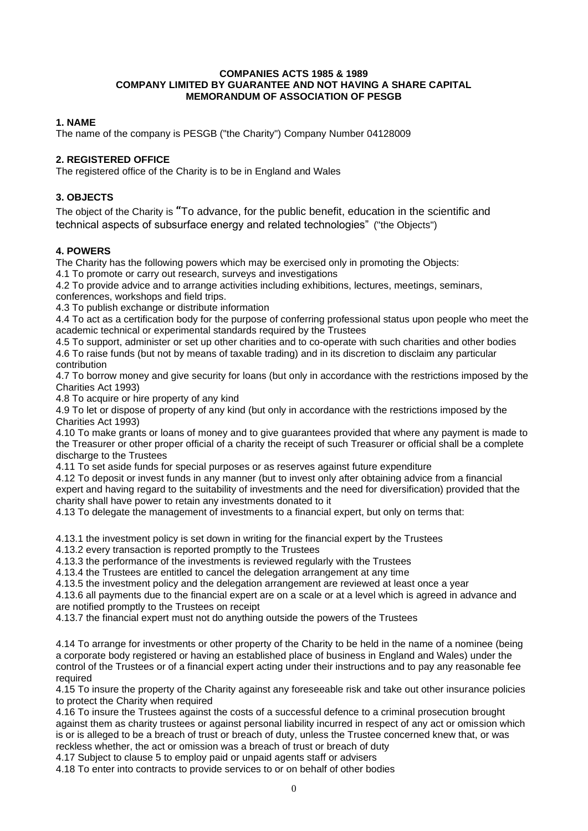### **COMPANIES ACTS 1985 & 1989 COMPANY LIMITED BY GUARANTEE AND NOT HAVING A SHARE CAPITAL MEMORANDUM OF ASSOCIATION OF PESGB**

# **1. NAME**

The name of the company is PESGB ("the Charity") Company Number 04128009

# **2. REGISTERED OFFICE**

The registered office of the Charity is to be in England and Wales

# **3. OBJECTS**

The object of the Charity is **"**To advance, for the public benefit, education in the scientific and technical aspects of subsurface energy and related technologies" ("the Objects")

## **4. POWERS**

The Charity has the following powers which may be exercised only in promoting the Objects:

4.1 To promote or carry out research, surveys and investigations

4.2 To provide advice and to arrange activities including exhibitions, lectures, meetings, seminars, conferences, workshops and field trips.

4.3 To publish exchange or distribute information

4.4 To act as a certification body for the purpose of conferring professional status upon people who meet the academic technical or experimental standards required by the Trustees

4.5 To support, administer or set up other charities and to co-operate with such charities and other bodies 4.6 To raise funds (but not by means of taxable trading) and in its discretion to disclaim any particular contribution

4.7 To borrow money and give security for loans (but only in accordance with the restrictions imposed by the Charities Act 1993)

4.8 To acquire or hire property of any kind

4.9 To let or dispose of property of any kind (but only in accordance with the restrictions imposed by the Charities Act 1993)

4.10 To make grants or loans of money and to give guarantees provided that where any payment is made to the Treasurer or other proper official of a charity the receipt of such Treasurer or official shall be a complete discharge to the Trustees

4.11 To set aside funds for special purposes or as reserves against future expenditure

4.12 To deposit or invest funds in any manner (but to invest only after obtaining advice from a financial expert and having regard to the suitability of investments and the need for diversification) provided that the charity shall have power to retain any investments donated to it

4.13 To delegate the management of investments to a financial expert, but only on terms that:

4.13.1 the investment policy is set down in writing for the financial expert by the Trustees

4.13.2 every transaction is reported promptly to the Trustees

4.13.3 the performance of the investments is reviewed regularly with the Trustees

4.13.4 the Trustees are entitled to cancel the delegation arrangement at any time

4.13.5 the investment policy and the delegation arrangement are reviewed at least once a year

4.13.6 all payments due to the financial expert are on a scale or at a level which is agreed in advance and are notified promptly to the Trustees on receipt

4.13.7 the financial expert must not do anything outside the powers of the Trustees

4.14 To arrange for investments or other property of the Charity to be held in the name of a nominee (being a corporate body registered or having an established place of business in England and Wales) under the control of the Trustees or of a financial expert acting under their instructions and to pay any reasonable fee required

4.15 To insure the property of the Charity against any foreseeable risk and take out other insurance policies to protect the Charity when required

4.16 To insure the Trustees against the costs of a successful defence to a criminal prosecution brought against them as charity trustees or against personal liability incurred in respect of any act or omission which is or is alleged to be a breach of trust or breach of duty, unless the Trustee concerned knew that, or was reckless whether, the act or omission was a breach of trust or breach of duty

4.17 Subject to clause 5 to employ paid or unpaid agents staff or advisers

4.18 To enter into contracts to provide services to or on behalf of other bodies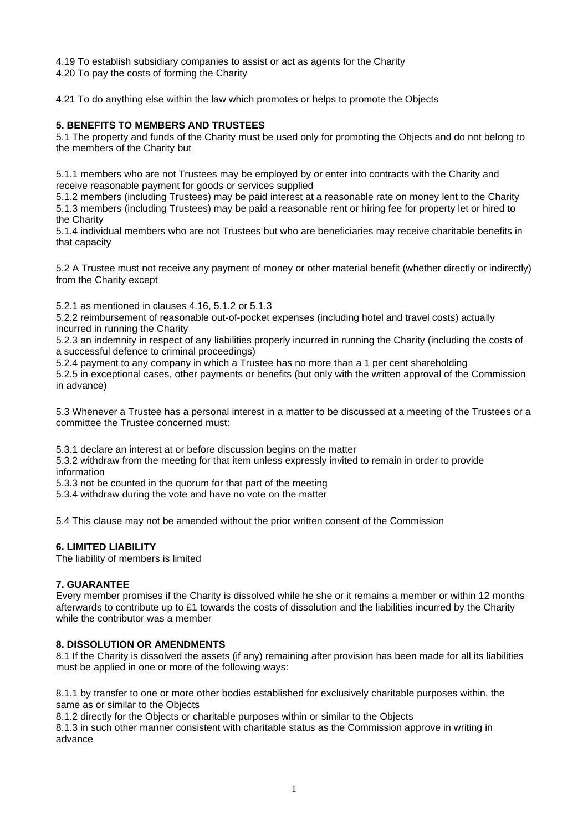4.19 To establish subsidiary companies to assist or act as agents for the Charity 4.20 To pay the costs of forming the Charity

4.21 To do anything else within the law which promotes or helps to promote the Objects

# **5. BENEFITS TO MEMBERS AND TRUSTEES**

5.1 The property and funds of the Charity must be used only for promoting the Objects and do not belong to the members of the Charity but

5.1.1 members who are not Trustees may be employed by or enter into contracts with the Charity and receive reasonable payment for goods or services supplied

5.1.2 members (including Trustees) may be paid interest at a reasonable rate on money lent to the Charity 5.1.3 members (including Trustees) may be paid a reasonable rent or hiring fee for property let or hired to the Charity

5.1.4 individual members who are not Trustees but who are beneficiaries may receive charitable benefits in that capacity

5.2 A Trustee must not receive any payment of money or other material benefit (whether directly or indirectly) from the Charity except

5.2.1 as mentioned in clauses 4.16, 5.1.2 or 5.1.3

5.2.2 reimbursement of reasonable out-of-pocket expenses (including hotel and travel costs) actually incurred in running the Charity

5.2.3 an indemnity in respect of any liabilities properly incurred in running the Charity (including the costs of a successful defence to criminal proceedings)

5.2.4 payment to any company in which a Trustee has no more than a 1 per cent shareholding

5.2.5 in exceptional cases, other payments or benefits (but only with the written approval of the Commission in advance)

5.3 Whenever a Trustee has a personal interest in a matter to be discussed at a meeting of the Trustees or a committee the Trustee concerned must:

5.3.1 declare an interest at or before discussion begins on the matter

5.3.2 withdraw from the meeting for that item unless expressly invited to remain in order to provide information

5.3.3 not be counted in the quorum for that part of the meeting

5.3.4 withdraw during the vote and have no vote on the matter

5.4 This clause may not be amended without the prior written consent of the Commission

## **6. LIMITED LIABILITY**

The liability of members is limited

## **7. GUARANTEE**

Every member promises if the Charity is dissolved while he she or it remains a member or within 12 months afterwards to contribute up to £1 towards the costs of dissolution and the liabilities incurred by the Charity while the contributor was a member

## **8. DISSOLUTION OR AMENDMENTS**

8.1 If the Charity is dissolved the assets (if any) remaining after provision has been made for all its liabilities must be applied in one or more of the following ways:

8.1.1 by transfer to one or more other bodies established for exclusively charitable purposes within, the same as or similar to the Objects

8.1.2 directly for the Objects or charitable purposes within or similar to the Objects

8.1.3 in such other manner consistent with charitable status as the Commission approve in writing in advance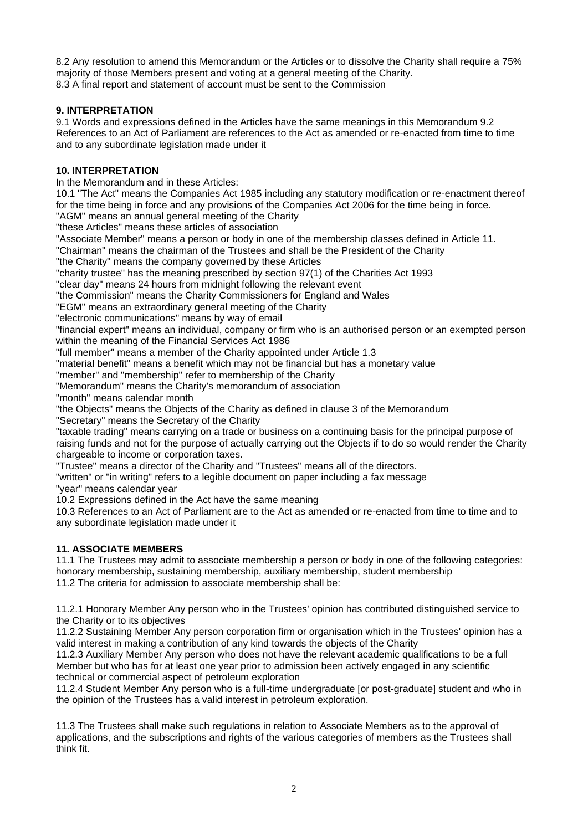8.2 Any resolution to amend this Memorandum or the Articles or to dissolve the Charity shall require a 75% majority of those Members present and voting at a general meeting of the Charity. 8.3 A final report and statement of account must be sent to the Commission

# **9. INTERPRETATION**

9.1 Words and expressions defined in the Articles have the same meanings in this Memorandum 9.2 References to an Act of Parliament are references to the Act as amended or re-enacted from time to time and to any subordinate legislation made under it

# **10. INTERPRETATION**

In the Memorandum and in these Articles:

10.1 "The Act" means the Companies Act 1985 including any statutory modification or re-enactment thereof for the time being in force and any provisions of the Companies Act 2006 for the time being in force.

"AGM" means an annual general meeting of the Charity

"these Articles" means these articles of association

"Associate Member" means a person or body in one of the membership classes defined in Article 11.

"Chairman" means the chairman of the Trustees and shall be the President of the Charity

"the Charity" means the company governed by these Articles

"charity trustee" has the meaning prescribed by section 97(1) of the Charities Act 1993

"clear day" means 24 hours from midnight following the relevant event

"the Commission" means the Charity Commissioners for England and Wales

"EGM" means an extraordinary general meeting of the Charity

"electronic communications" means by way of email

"financial expert" means an individual, company or firm who is an authorised person or an exempted person within the meaning of the Financial Services Act 1986

"full member" means a member of the Charity appointed under Article 1.3

"material benefit" means a benefit which may not be financial but has a monetary value

"member" and "membership" refer to membership of the Charity

"Memorandum" means the Charity's memorandum of association

"month" means calendar month

"the Objects" means the Objects of the Charity as defined in clause 3 of the Memorandum

"Secretary" means the Secretary of the Charity

"taxable trading" means carrying on a trade or business on a continuing basis for the principal purpose of raising funds and not for the purpose of actually carrying out the Objects if to do so would render the Charity chargeable to income or corporation taxes.

"Trustee" means a director of the Charity and "Trustees" means all of the directors.

"written" or "in writing" refers to a legible document on paper including a fax message

"year" means calendar year

10.2 Expressions defined in the Act have the same meaning

10.3 References to an Act of Parliament are to the Act as amended or re-enacted from time to time and to any subordinate legislation made under it

## **11. ASSOCIATE MEMBERS**

11.1 The Trustees may admit to associate membership a person or body in one of the following categories: honorary membership, sustaining membership, auxiliary membership, student membership 11.2 The criteria for admission to associate membership shall be:

11.2.1 Honorary Member Any person who in the Trustees' opinion has contributed distinguished service to the Charity or to its objectives

11.2.2 Sustaining Member Any person corporation firm or organisation which in the Trustees' opinion has a valid interest in making a contribution of any kind towards the objects of the Charity

11.2.3 Auxiliary Member Any person who does not have the relevant academic qualifications to be a full Member but who has for at least one year prior to admission been actively engaged in any scientific technical or commercial aspect of petroleum exploration

11.2.4 Student Member Any person who is a full-time undergraduate [or post-graduate] student and who in the opinion of the Trustees has a valid interest in petroleum exploration.

11.3 The Trustees shall make such regulations in relation to Associate Members as to the approval of applications, and the subscriptions and rights of the various categories of members as the Trustees shall think fit.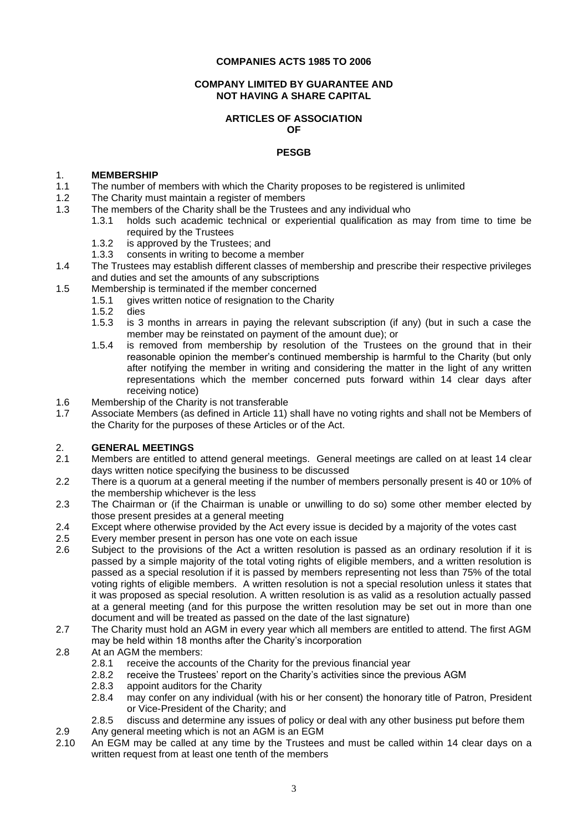### **COMPANIES ACTS 1985 TO 2006**

## **COMPANY LIMITED BY GUARANTEE AND NOT HAVING A SHARE CAPITAL**

#### **ARTICLES OF ASSOCIATION OF**

### **PESGB**

## 1. **MEMBERSHIP**

- 1.1 The number of members with which the Charity proposes to be registered is unlimited
- 1.2 The Charity must maintain a register of members
- 1.3 The members of the Charity shall be the Trustees and any individual who
	- 1.3.1 holds such academic technical or experiential qualification as may from time to time be required by the Trustees
	- 1.3.2 is approved by the Trustees; and
	- 1.3.3 consents in writing to become a member
- 1.4 The Trustees may establish different classes of membership and prescribe their respective privileges and duties and set the amounts of any subscriptions
- 1.5 Membership is terminated if the member concerned
	- 1.5.1 gives written notice of resignation to the Charity
	- 1.5.2 dies
	- is 3 months in arrears in paying the relevant subscription (if any) (but in such a case the member may be reinstated on payment of the amount due); or
	- 1.5.4 is removed from membership by resolution of the Trustees on the ground that in their reasonable opinion the member's continued membership is harmful to the Charity (but only after notifying the member in writing and considering the matter in the light of any written representations which the member concerned puts forward within 14 clear days after receiving notice)
- 1.6 Membership of the Charity is not transferable
- 1.7 Associate Members (as defined in Article 11) shall have no voting rights and shall not be Members of the Charity for the purposes of these Articles or of the Act.

# 2. **GENERAL MEETINGS**

- 2.1 Members are entitled to attend general meetings. General meetings are called on at least 14 clear days written notice specifying the business to be discussed
- 2.2 There is a quorum at a general meeting if the number of members personally present is 40 or 10% of the membership whichever is the less
- 2.3 The Chairman or (if the Chairman is unable or unwilling to do so) some other member elected by those present presides at a general meeting
- 2.4 Except where otherwise provided by the Act every issue is decided by a majority of the votes cast<br>2.5 Every member present in person has one vote on each issue
- Every member present in person has one vote on each issue
- 2.6 Subject to the provisions of the Act a written resolution is passed as an ordinary resolution if it is passed by a simple majority of the total voting rights of eligible members, and a written resolution is passed as a special resolution if it is passed by members representing not less than 75% of the total voting rights of eligible members. A written resolution is not a special resolution unless it states that it was proposed as special resolution. A written resolution is as valid as a resolution actually passed at a general meeting (and for this purpose the written resolution may be set out in more than one document and will be treated as passed on the date of the last signature)
- 2.7 The Charity must hold an AGM in every year which all members are entitled to attend. The first AGM may be held within 18 months after the Charity's incorporation
- 2.8 At an AGM the members:
	- 2.8.1 receive the accounts of the Charity for the previous financial year<br>2.8.2 receive the Trustees' report on the Charity's activities since the pro-
	- 2.8.2 receive the Trustees' report on the Charity's activities since the previous AGM<br>2.8.3 appoint auditors for the Charity
	- appoint auditors for the Charity
	- 2.8.4 may confer on any individual (with his or her consent) the honorary title of Patron, President or Vice-President of the Charity; and
	- 2.8.5 discuss and determine any issues of policy or deal with any other business put before them
- 2.9 Any general meeting which is not an AGM is an EGM
- 2.10 An EGM may be called at any time by the Trustees and must be called within 14 clear days on a written request from at least one tenth of the members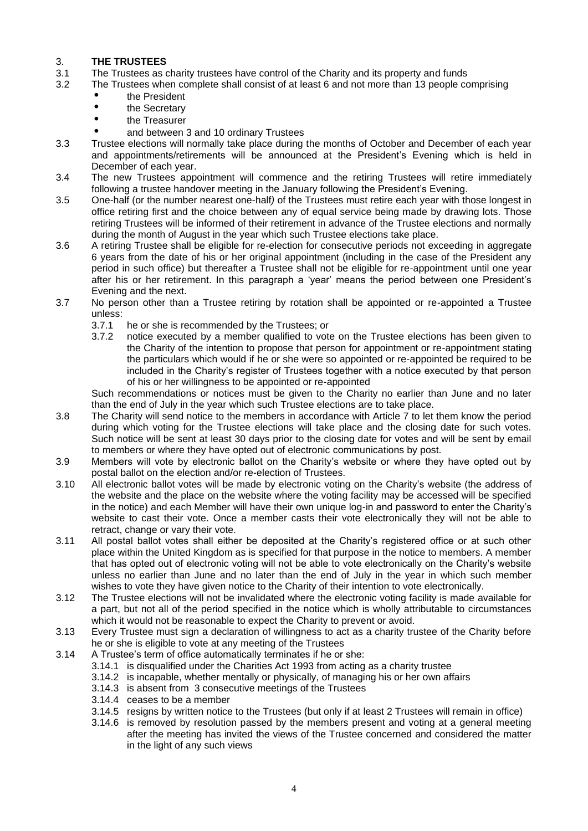# 3. **THE TRUSTEES**

- 3.1 The Trustees as charity trustees have control of the Charity and its property and funds<br>3.2 The Trustees when complete shall consist of at least 6 and not more than 13 people co
- The Trustees when complete shall consist of at least 6 and not more than 13 people comprising
	- the President
	- the Secretary
	- **the Treasurer**
	- and between 3 and 10 ordinary Trustees
- 3.3 Trustee elections will normally take place during the months of October and December of each year and appointments/retirements will be announced at the President's Evening which is held in December of each year.
- 3.4 The new Trustees appointment will commence and the retiring Trustees will retire immediately following a trustee handover meeting in the January following the President's Evening.
- 3.5 One*-*half (or the number nearest one-half*)* of the Trustees must retire each year with those longest in office retiring first and the choice between any of equal service being made by drawing lots. Those retiring Trustees will be informed of their retirement in advance of the Trustee elections and normally during the month of August in the year which such Trustee elections take place.
- 3.6 A retiring Trustee shall be eligible for re-election for consecutive periods not exceeding in aggregate 6 years from the date of his or her original appointment (including in the case of the President any period in such office) but thereafter a Trustee shall not be eligible for re-appointment until one year after his or her retirement. In this paragraph a 'year' means the period between one President's Evening and the next.
- 3.7 No person other than a Trustee retiring by rotation shall be appointed or re-appointed a Trustee unless:
	- 3.7.1 he or she is recommended by the Trustees; or
	- 3.7.2 notice executed by a member qualified to vote on the Trustee elections has been given to the Charity of the intention to propose that person for appointment or re-appointment stating the particulars which would if he or she were so appointed or re-appointed be required to be included in the Charity's register of Trustees together with a notice executed by that person of his or her willingness to be appointed or re-appointed

Such recommendations or notices must be given to the Charity no earlier than June and no later than the end of July in the year which such Trustee elections are to take place.

- 3.8 The Charity will send notice to the members in accordance with Article 7 to let them know the period during which voting for the Trustee elections will take place and the closing date for such votes. Such notice will be sent at least 30 days prior to the closing date for votes and will be sent by email to members or where they have opted out of electronic communications by post.
- 3.9 Members will vote by electronic ballot on the Charity's website or where they have opted out by postal ballot on the election and/or re-election of Trustees.
- 3.10 All electronic ballot votes will be made by electronic voting on the Charity's website (the address of the website and the place on the website where the voting facility may be accessed will be specified in the notice) and each Member will have their own unique log-in and password to enter the Charity's website to cast their vote. Once a member casts their vote electronically they will not be able to retract, change or vary their vote.
- 3.11 All postal ballot votes shall either be deposited at the Charity's registered office or at such other place within the United Kingdom as is specified for that purpose in the notice to members. A member that has opted out of electronic voting will not be able to vote electronically on the Charity's website unless no earlier than June and no later than the end of July in the year in which such member wishes to vote they have given notice to the Charity of their intention to vote electronically.
- 3.12 The Trustee elections will not be invalidated where the electronic voting facility is made available for a part, but not all of the period specified in the notice which is wholly attributable to circumstances which it would not be reasonable to expect the Charity to prevent or avoid.
- 3.13 Every Trustee must sign a declaration of willingness to act as a charity trustee of the Charity before he or she is eligible to vote at any meeting of the Trustees
- 3.14 A Trustee's term of office automatically terminates if he or she:
	- 3.14.1 is disqualified under the Charities Act 1993 from acting as a charity trustee
	- 3.14.2 is incapable, whether mentally or physically, of managing his or her own affairs
	- 3.14.3 is absent from 3 consecutive meetings of the Trustees
	- 3.14.4 ceases to be a member
	- 3.14.5 resigns by written notice to the Trustees (but only if at least 2 Trustees will remain in office)
	- 3.14.6 is removed by resolution passed by the members present and voting at a general meeting after the meeting has invited the views of the Trustee concerned and considered the matter in the light of any such views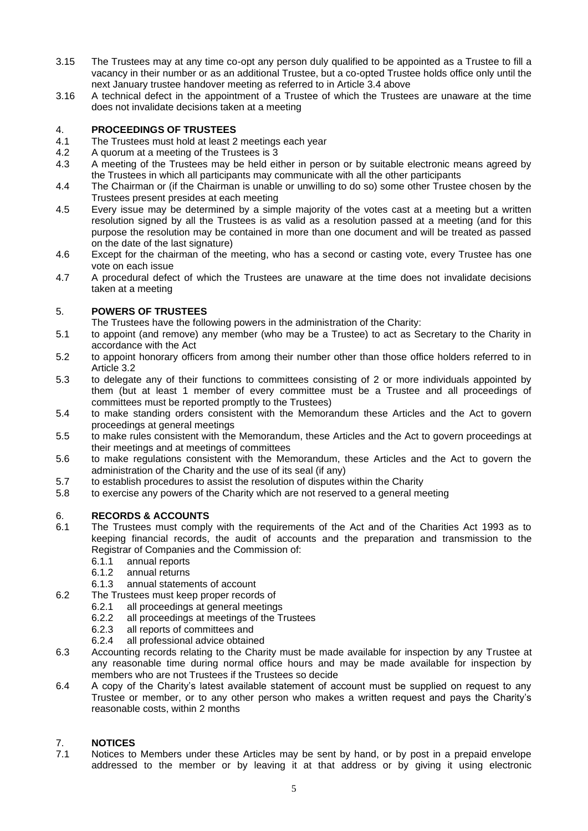- 3.15 The Trustees may at any time co-opt any person duly qualified to be appointed as a Trustee to fill a vacancy in their number or as an additional Trustee, but a co-opted Trustee holds office only until the next January trustee handover meeting as referred to in Article 3.4 above
- 3.16 A technical defect in the appointment of a Trustee of which the Trustees are unaware at the time does not invalidate decisions taken at a meeting

# 4. **PROCEEDINGS OF TRUSTEES**

- 4.1 The Trustees must hold at least 2 meetings each year
- 4.2 A quorum at a meeting of the Trustees is 3
- 4.3 A meeting of the Trustees may be held either in person or by suitable electronic means agreed by the Trustees in which all participants may communicate with all the other participants
- 4.4 The Chairman or (if the Chairman is unable or unwilling to do so) some other Trustee chosen by the Trustees present presides at each meeting
- 4.5 Every issue may be determined by a simple majority of the votes cast at a meeting but a written resolution signed by all the Trustees is as valid as a resolution passed at a meeting (and for this purpose the resolution may be contained in more than one document and will be treated as passed on the date of the last signature)
- 4.6 Except for the chairman of the meeting, who has a second or casting vote, every Trustee has one vote on each issue
- 4.7 A procedural defect of which the Trustees are unaware at the time does not invalidate decisions taken at a meeting

# 5. **POWERS OF TRUSTEES**

- The Trustees have the following powers in the administration of the Charity:
- 5.1 to appoint (and remove) any member (who may be a Trustee) to act as Secretary to the Charity in accordance with the Act
- 5.2 to appoint honorary officers from among their number other than those office holders referred to in Article 3.2
- 5.3 to delegate any of their functions to committees consisting of 2 or more individuals appointed by them (but at least 1 member of every committee must be a Trustee and all proceedings of committees must be reported promptly to the Trustees)
- 5.4 to make standing orders consistent with the Memorandum these Articles and the Act to govern proceedings at general meetings
- 5.5 to make rules consistent with the Memorandum, these Articles and the Act to govern proceedings at their meetings and at meetings of committees
- 5.6 to make regulations consistent with the Memorandum, these Articles and the Act to govern the administration of the Charity and the use of its seal (if any)
- 5.7 to establish procedures to assist the resolution of disputes within the Charity
- 5.8 to exercise any powers of the Charity which are not reserved to a general meeting

## 6. **RECORDS & ACCOUNTS**

- 6.1 The Trustees must comply with the requirements of the Act and of the Charities Act 1993 as to keeping financial records, the audit of accounts and the preparation and transmission to the Registrar of Companies and the Commission of:
	- 6.1.1 annual reports
	- 6.1.2 annual returns
	- 6.1.3 annual statements of account
- 6.2 The Trustees must keep proper records of
	- 6.2.1 all proceedings at general meetings
	- 6.2.2 all proceedings at meetings of the Trustees
	- 6.2.3 all reports of committees and
	- 6.2.4 all professional advice obtained
- 6.3 Accounting records relating to the Charity must be made available for inspection by any Trustee at any reasonable time during normal office hours and may be made available for inspection by members who are not Trustees if the Trustees so decide
- 6.4 A copy of the Charity's latest available statement of account must be supplied on request to any Trustee or member, or to any other person who makes a written request and pays the Charity's reasonable costs, within 2 months

# 7. **NOTICES**

Notices to Members under these Articles may be sent by hand, or by post in a prepaid envelope addressed to the member or by leaving it at that address or by giving it using electronic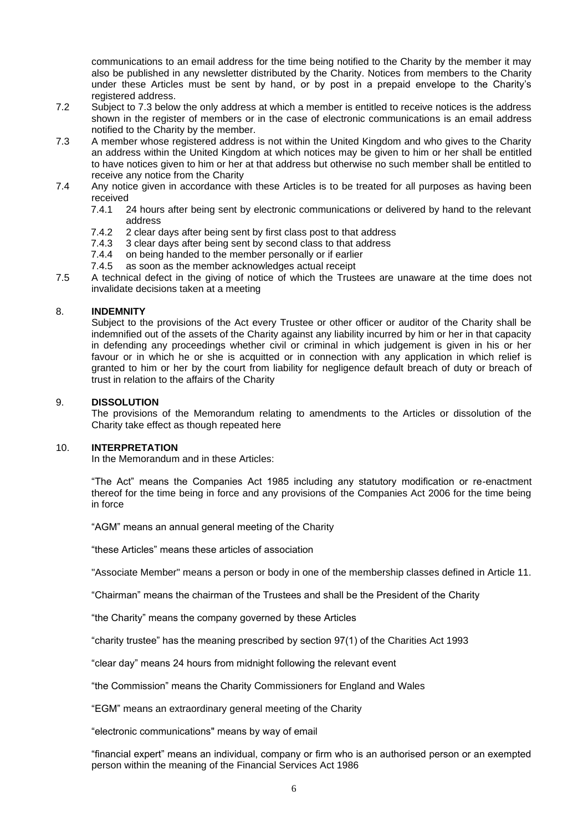communications to an email address for the time being notified to the Charity by the member it may also be published in any newsletter distributed by the Charity. Notices from members to the Charity under these Articles must be sent by hand, or by post in a prepaid envelope to the Charity's registered address.

- 7.2 Subject to 7.3 below the only address at which a member is entitled to receive notices is the address shown in the register of members or in the case of electronic communications is an email address notified to the Charity by the member.
- 7.3 A member whose registered address is not within the United Kingdom and who gives to the Charity an address within the United Kingdom at which notices may be given to him or her shall be entitled to have notices given to him or her at that address but otherwise no such member shall be entitled to receive any notice from the Charity
- 7.4 Any notice given in accordance with these Articles is to be treated for all purposes as having been received
	- 7.4.1 24 hours after being sent by electronic communications or delivered by hand to the relevant address
	- 7.4.2 2 clear days after being sent by first class post to that address
	- 7.4.3 3 clear days after being sent by second class to that address
	- 7.4.4 on being handed to the member personally or if earlier
	- 7.4.5 as soon as the member acknowledges actual receipt
- 7.5 A technical defect in the giving of notice of which the Trustees are unaware at the time does not invalidate decisions taken at a meeting

## 8. **INDEMNITY**

Subject to the provisions of the Act every Trustee or other officer or auditor of the Charity shall be indemnified out of the assets of the Charity against any liability incurred by him or her in that capacity in defending any proceedings whether civil or criminal in which judgement is given in his or her favour or in which he or she is acquitted or in connection with any application in which relief is granted to him or her by the court from liability for negligence default breach of duty or breach of trust in relation to the affairs of the Charity

## 9. **DISSOLUTION**

The provisions of the Memorandum relating to amendments to the Articles or dissolution of the Charity take effect as though repeated here

## 10. **INTERPRETATION**

In the Memorandum and in these Articles:

"The Act" means the Companies Act 1985 including any statutory modification or re-enactment thereof for the time being in force and any provisions of the Companies Act 2006 for the time being in force

"AGM" means an annual general meeting of the Charity

"these Articles" means these articles of association

"Associate Member" means a person or body in one of the membership classes defined in Article 11.

"Chairman" means the chairman of the Trustees and shall be the President of the Charity

"the Charity" means the company governed by these Articles

"charity trustee" has the meaning prescribed by section 97(1) of the Charities Act 1993

"clear day" means 24 hours from midnight following the relevant event

"the Commission" means the Charity Commissioners for England and Wales

"EGM" means an extraordinary general meeting of the Charity

"electronic communications" means by way of email

"financial expert" means an individual, company or firm who is an authorised person or an exempted person within the meaning of the Financial Services Act 1986